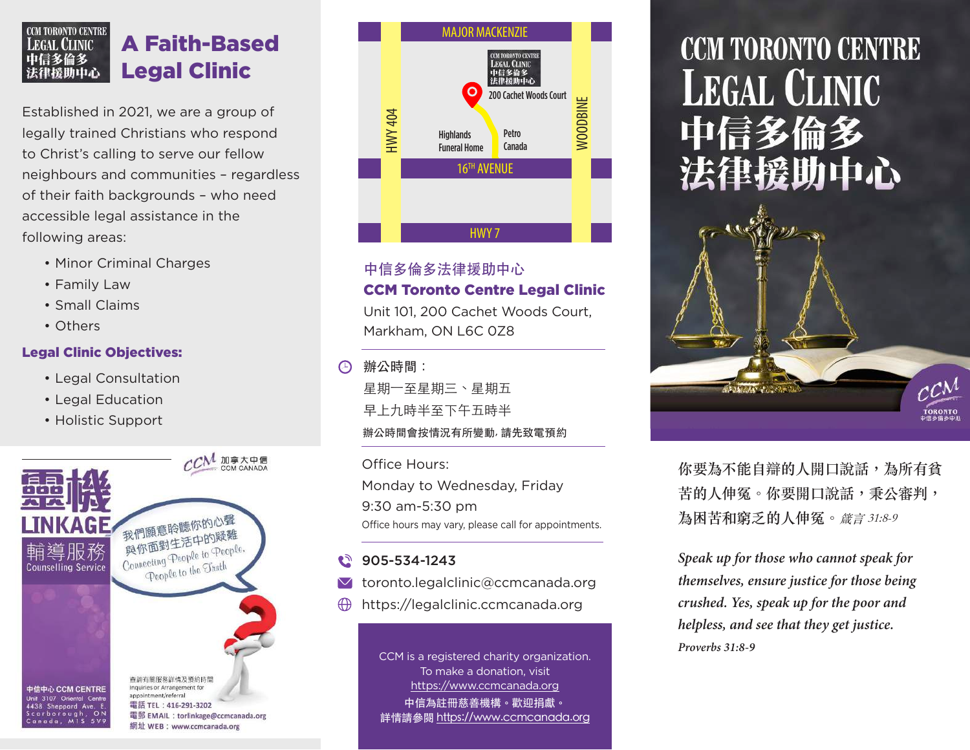#### **CCM TORONTO CENTRE** A Faith-Based **LEGAL CLINIC** 中信多倫多 Legal Clinic 法律援助中心

Established in 2021, we are a group of legally trained Christians who respond to Christ's calling to serve our fellow neighbours and communities – regardless of their faith backgrounds – who need accessible legal assistance in the following areas:

- Minor Criminal Charges
- Family Law
- Small Claims
- Others

## Legal Clinic Objectives:

- Legal Consultation
- Legal Education
- Holistic Support





# 中信多倫多法律援助中心 CCM Toronto Centre Legal Clinic

Unit 101, 200 Cachet Woods Court, Markham, ON L6C 0Z8

辦公時間:

辦公時間會按情況有所變動, 請先致電預約 星期一至星期三、星期五 早上九時半至下午五時半

Office Hours: Monday to Wednesday, Friday 9:30 am-5:30 pm Office hours may vary, please call for appointments.

# $2905 - 534 - 1243$

- $\blacksquare$  toronto.legalclinic@ccmcanada.org
- https://legalclinic.ccmcanada.org

CCM is a registered charity organization. To make a donation, visit https://www.ccmcanada.org 中信為註冊慈善機構。歡迎捐獻。 詳情請參閱 https://www.ccmcanada.org

# **CCM TORONTO CENTRE LEGAL CLINIC** 中信多倫多 法律援助中心

**你要為不能自辯的人開口說話,為所有貧 苦的人伸冤。你要開口說話,秉公審判, 為困苦和窮乏的人伸冤。**箴言 31:8-9

**TORONTO** 

*Speak up for those who cannot speak for themselves, ensure justice for those being crushed. Yes, speak up for the poor and helpless, and see that they get justice. Proverbs 31:8-9*